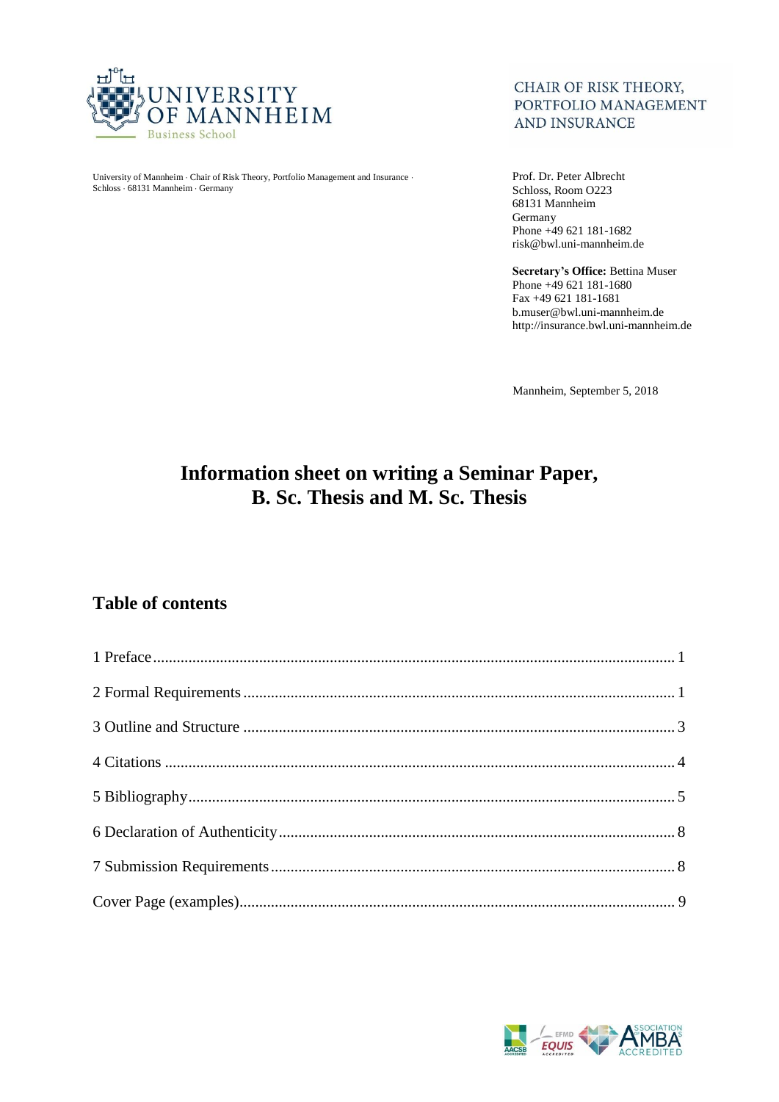

University of Mannheim · Chair of Risk Theory, Portfolio Management and Insurance · Schloss 68131 Mannheim Germany

## CHAIR OF RISK THEORY, PORTFOLIO MANAGEMENT **AND INSURANCE**

Prof. Dr. Peter Albrecht Schloss, Room O223 68131 Mannheim Germany Phone +49 621 181-1682 risk@bwl.uni-mannheim.de

**Secretary's Office:** Bettina Muser Phone +49 621 181-1680 Fax +49 621 181-1681 b.muser@bwl.uni-mannheim.de http://insurance.bwl.uni-mannheim.de

Mannheim, September 5, 2018

# **Information sheet on writing a Seminar Paper, B. Sc. Thesis and M. Sc. Thesis**

# **Table of contents**

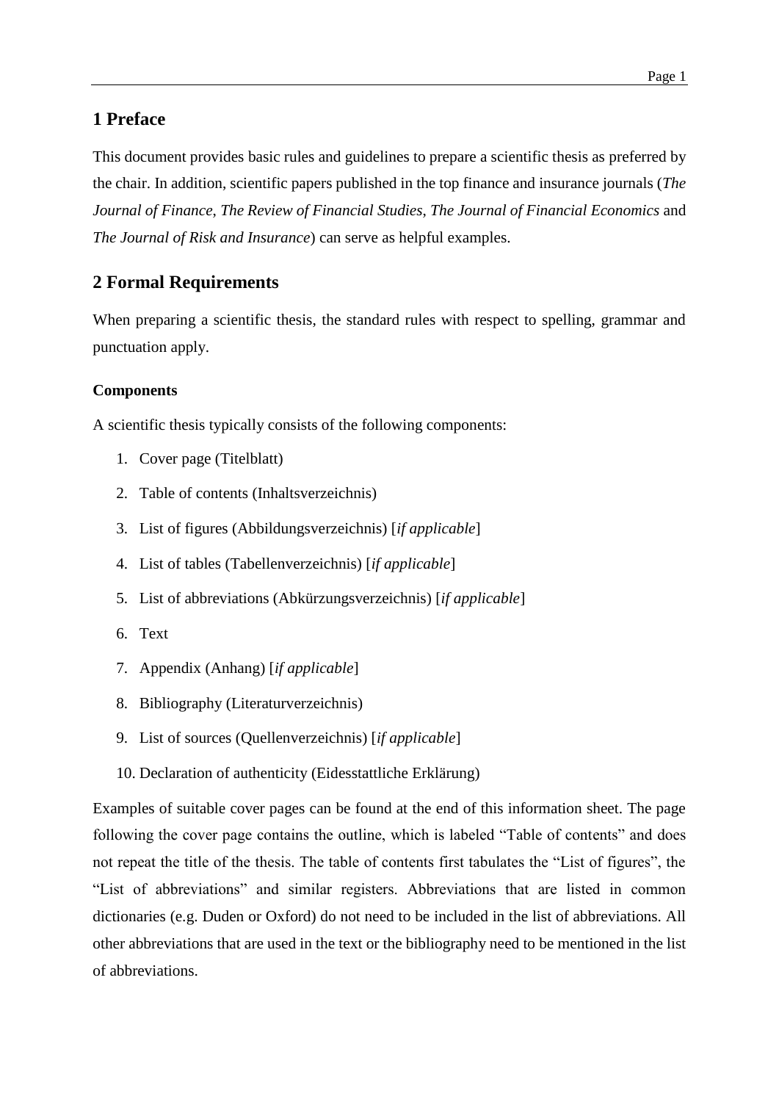# <span id="page-1-0"></span>**1 Preface**

This document provides basic rules and guidelines to prepare a scientific thesis as preferred by the chair. In addition, scientific papers published in the top finance and insurance journals (*The Journal of Finance*, *The Review of Financial Studies*, *The Journal of Financial Economics* and *The Journal of Risk and Insurance*) can serve as helpful examples.

# <span id="page-1-1"></span>**2 Formal Requirements**

When preparing a scientific thesis, the standard rules with respect to spelling, grammar and punctuation apply.

## **Components**

A scientific thesis typically consists of the following components:

- 1. Cover page (Titelblatt)
- 2. Table of contents (Inhaltsverzeichnis)
- 3. List of figures (Abbildungsverzeichnis) [*if applicable*]
- 4. List of tables (Tabellenverzeichnis) [*if applicable*]
- 5. List of abbreviations (Abkürzungsverzeichnis) [*if applicable*]
- 6. Text
- 7. Appendix (Anhang) [*if applicable*]
- 8. Bibliography (Literaturverzeichnis)
- 9. List of sources (Quellenverzeichnis) [*if applicable*]
- 10. Declaration of authenticity (Eidesstattliche Erklärung)

Examples of suitable cover pages can be found at the end of this information sheet. The page following the cover page contains the outline, which is labeled "Table of contents" and does not repeat the title of the thesis. The table of contents first tabulates the "List of figures", the "List of abbreviations" and similar registers. Abbreviations that are listed in common dictionaries (e.g. Duden or Oxford) do not need to be included in the list of abbreviations. All other abbreviations that are used in the text or the bibliography need to be mentioned in the list of abbreviations.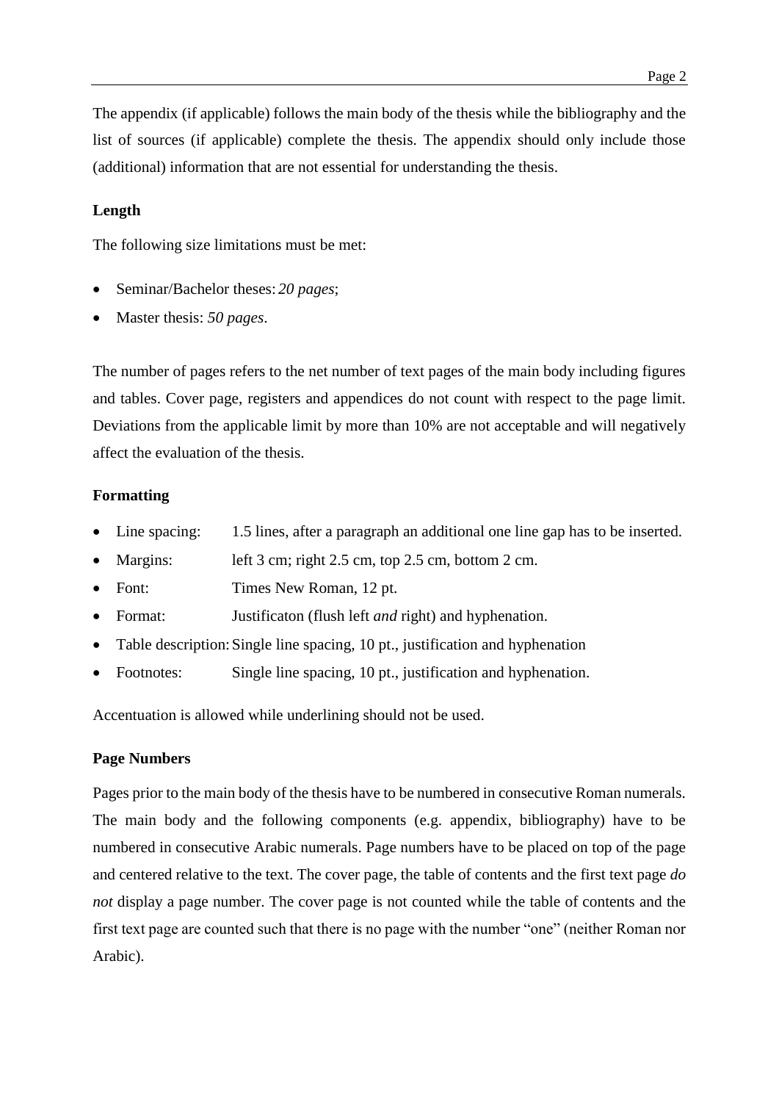The appendix (if applicable) follows the main body of the thesis while the bibliography and the list of sources (if applicable) complete the thesis. The appendix should only include those (additional) information that are not essential for understanding the thesis.

## **Length**

The following size limitations must be met:

- Seminar/Bachelor theses: *20 pages*;
- Master thesis: *50 pages*.

The number of pages refers to the net number of text pages of the main body including figures and tables. Cover page, registers and appendices do not count with respect to the page limit. Deviations from the applicable limit by more than 10% are not acceptable and will negatively affect the evaluation of the thesis.

## **Formatting**

- Line spacing: 1.5 lines, after a paragraph an additional one line gap has to be inserted.
- Margins: left 3 cm; right 2.5 cm, top 2.5 cm, bottom 2 cm.
- Font: Times New Roman, 12 pt.
- Format: Justificaton (flush left *and* right) and hyphenation.
- Table description:Single line spacing, 10 pt., justification and hyphenation
- Footnotes: Single line spacing, 10 pt., justification and hyphenation.

Accentuation is allowed while underlining should not be used.

### **Page Numbers**

Pages prior to the main body of the thesis have to be numbered in consecutive Roman numerals. The main body and the following components (e.g. appendix, bibliography) have to be numbered in consecutive Arabic numerals. Page numbers have to be placed on top of the page and centered relative to the text. The cover page, the table of contents and the first text page *do not* display a page number. The cover page is not counted while the table of contents and the first text page are counted such that there is no page with the number "one" (neither Roman nor Arabic).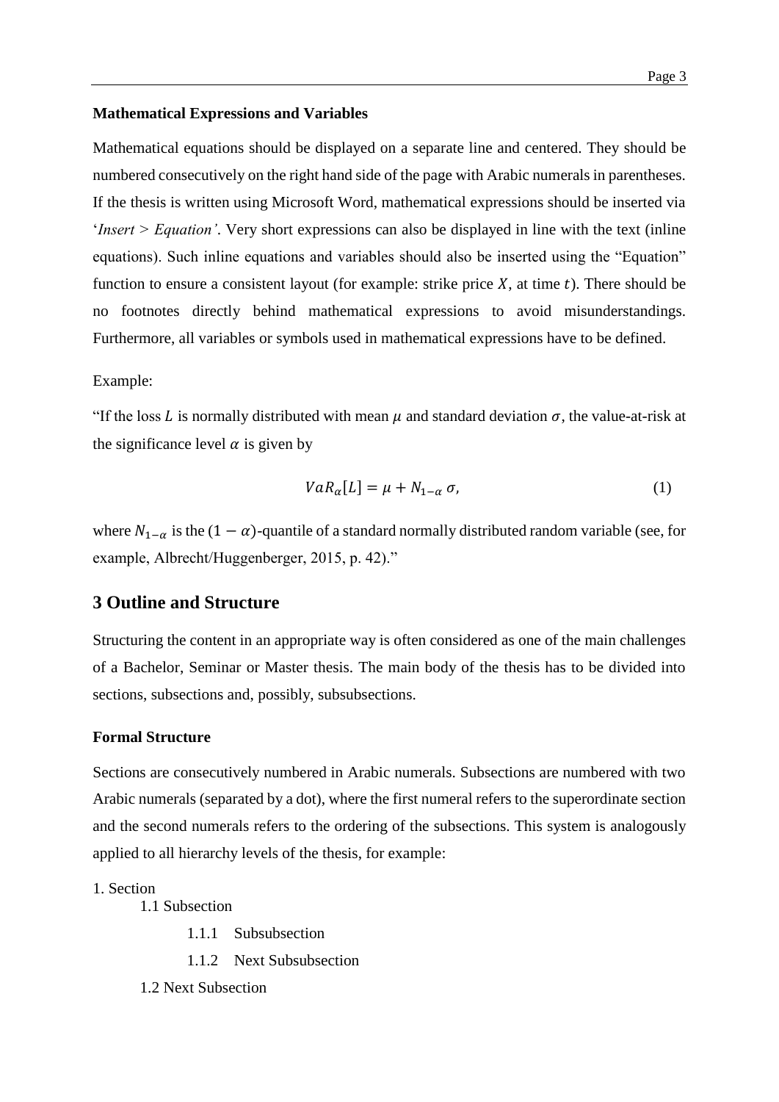### **Mathematical Expressions and Variables**

Mathematical equations should be displayed on a separate line and centered. They should be numbered consecutively on the right hand side of the page with Arabic numerals in parentheses. If the thesis is written using Microsoft Word, mathematical expressions should be inserted via '*Insert > Equation'*. Very short expressions can also be displayed in line with the text (inline equations). Such inline equations and variables should also be inserted using the "Equation" function to ensure a consistent layout (for example: strike price  $X$ , at time  $t$ ). There should be no footnotes directly behind mathematical expressions to avoid misunderstandings. Furthermore, all variables or symbols used in mathematical expressions have to be defined.

#### Example:

"If the loss L is normally distributed with mean  $\mu$  and standard deviation  $\sigma$ , the value-at-risk at the significance level  $\alpha$  is given by

$$
VaR_{\alpha}[L] = \mu + N_{1-\alpha} \sigma,\tag{1}
$$

where  $N_{1-\alpha}$  is the  $(1-\alpha)$ -quantile of a standard normally distributed random variable (see, for example, Albrecht/Huggenberger, 2015, p. 42)."

## <span id="page-3-0"></span>**3 Outline and Structure**

Structuring the content in an appropriate way is often considered as one of the main challenges of a Bachelor, Seminar or Master thesis. The main body of the thesis has to be divided into sections, subsections and, possibly, subsubsections.

## **Formal Structure**

Sections are consecutively numbered in Arabic numerals. Subsections are numbered with two Arabic numerals (separated by a dot), where the first numeral refers to the superordinate section and the second numerals refers to the ordering of the subsections. This system is analogously applied to all hierarchy levels of the thesis, for example:

## 1. Section

1.1 Subsection

- 1.1.1 Subsubsection
- 1.1.2 Next Subsubsection
- 1.2 Next Subsection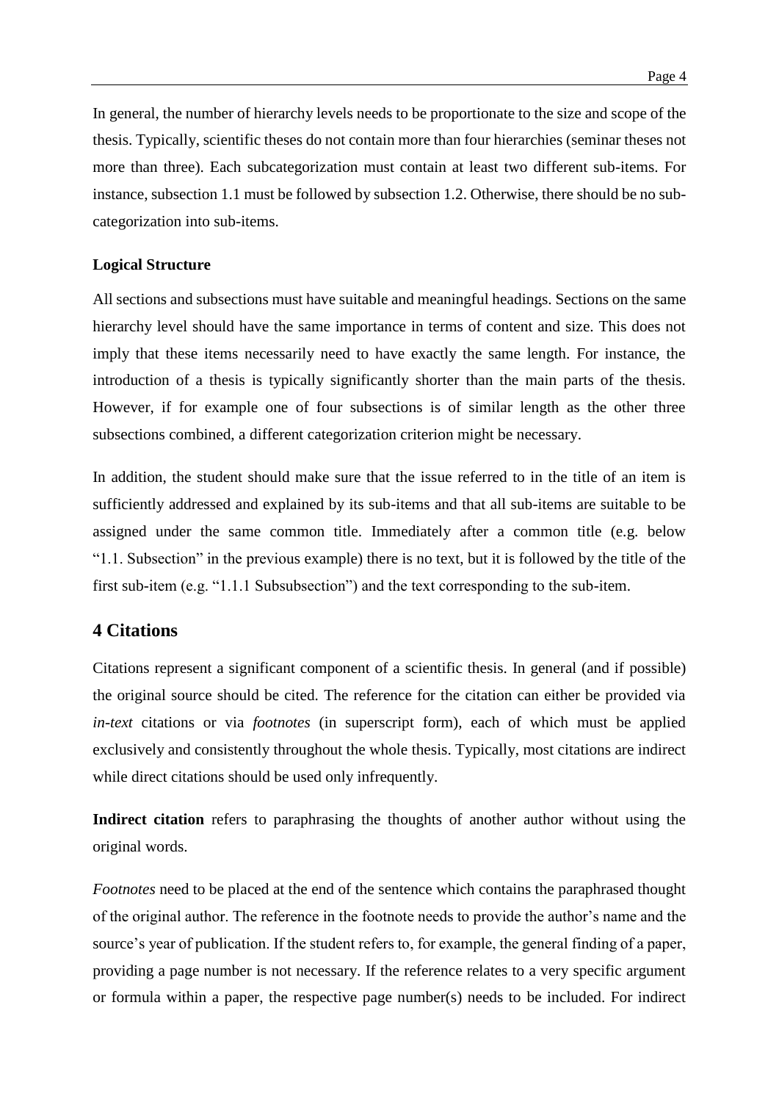In general, the number of hierarchy levels needs to be proportionate to the size and scope of the thesis. Typically, scientific theses do not contain more than four hierarchies (seminar theses not more than three). Each subcategorization must contain at least two different sub-items. For instance, subsection 1.1 must be followed by subsection 1.2. Otherwise, there should be no subcategorization into sub-items.

#### **Logical Structure**

All sections and subsections must have suitable and meaningful headings. Sections on the same hierarchy level should have the same importance in terms of content and size. This does not imply that these items necessarily need to have exactly the same length. For instance, the introduction of a thesis is typically significantly shorter than the main parts of the thesis. However, if for example one of four subsections is of similar length as the other three subsections combined, a different categorization criterion might be necessary.

In addition, the student should make sure that the issue referred to in the title of an item is sufficiently addressed and explained by its sub-items and that all sub-items are suitable to be assigned under the same common title. Immediately after a common title (e.g. below "1.1. Subsection" in the previous example) there is no text, but it is followed by the title of the first sub-item (e.g. "1.1.1 Subsubsection") and the text corresponding to the sub-item.

## <span id="page-4-0"></span>**4 Citations**

Citations represent a significant component of a scientific thesis. In general (and if possible) the original source should be cited. The reference for the citation can either be provided via *in-text* citations or via *footnotes* (in superscript form), each of which must be applied exclusively and consistently throughout the whole thesis. Typically, most citations are indirect while direct citations should be used only infrequently.

**Indirect citation** refers to paraphrasing the thoughts of another author without using the original words.

*Footnotes* need to be placed at the end of the sentence which contains the paraphrased thought of the original author. The reference in the footnote needs to provide the author's name and the source's year of publication. If the student refers to, for example, the general finding of a paper, providing a page number is not necessary. If the reference relates to a very specific argument or formula within a paper, the respective page number(s) needs to be included. For indirect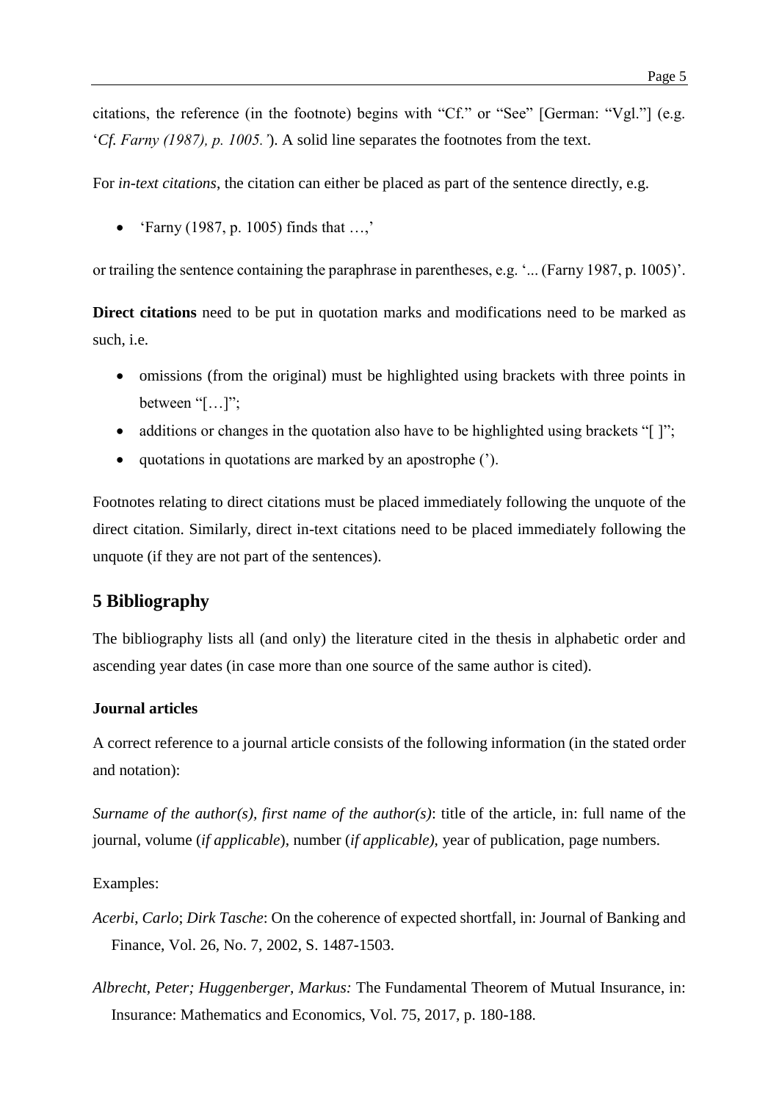citations, the reference (in the footnote) begins with "Cf." or "See" [German: "Vgl."] (e.g. '*Cf. Farny (1987), p. 1005.'*). A solid line separates the footnotes from the text.

For *in-text citations*, the citation can either be placed as part of the sentence directly, e.g.

• 'Farny (1987, p. 1005) finds that  $...,'$ 

or trailing the sentence containing the paraphrase in parentheses, e.g. '... (Farny 1987, p. 1005)'.

**Direct citations** need to be put in quotation marks and modifications need to be marked as such, i.e.

- omissions (from the original) must be highlighted using brackets with three points in between "[…]";
- additions or changes in the quotation also have to be highlighted using brackets " $[$  ]";
- quotations in quotations are marked by an apostrophe (').

Footnotes relating to direct citations must be placed immediately following the unquote of the direct citation. Similarly, direct in-text citations need to be placed immediately following the unquote (if they are not part of the sentences).

# <span id="page-5-0"></span>**5 Bibliography**

The bibliography lists all (and only) the literature cited in the thesis in alphabetic order and ascending year dates (in case more than one source of the same author is cited).

#### **Journal articles**

A correct reference to a journal article consists of the following information (in the stated order and notation):

*Surname of the author(s), first name of the author(s)*: title of the article, in: full name of the journal, volume (*if applicable*), number (*if applicable)*, year of publication, page numbers.

#### Examples:

- *Acerbi*, *Carlo*; *Dirk Tasche*: On the coherence of expected shortfall, in: Journal of Banking and Finance, Vol. 26, No. 7, 2002, S. 1487-1503.
- *Albrecht, Peter; Huggenberger, Markus:* The Fundamental Theorem of Mutual Insurance, in: Insurance: Mathematics and Economics, Vol. 75, 2017, p. 180-188.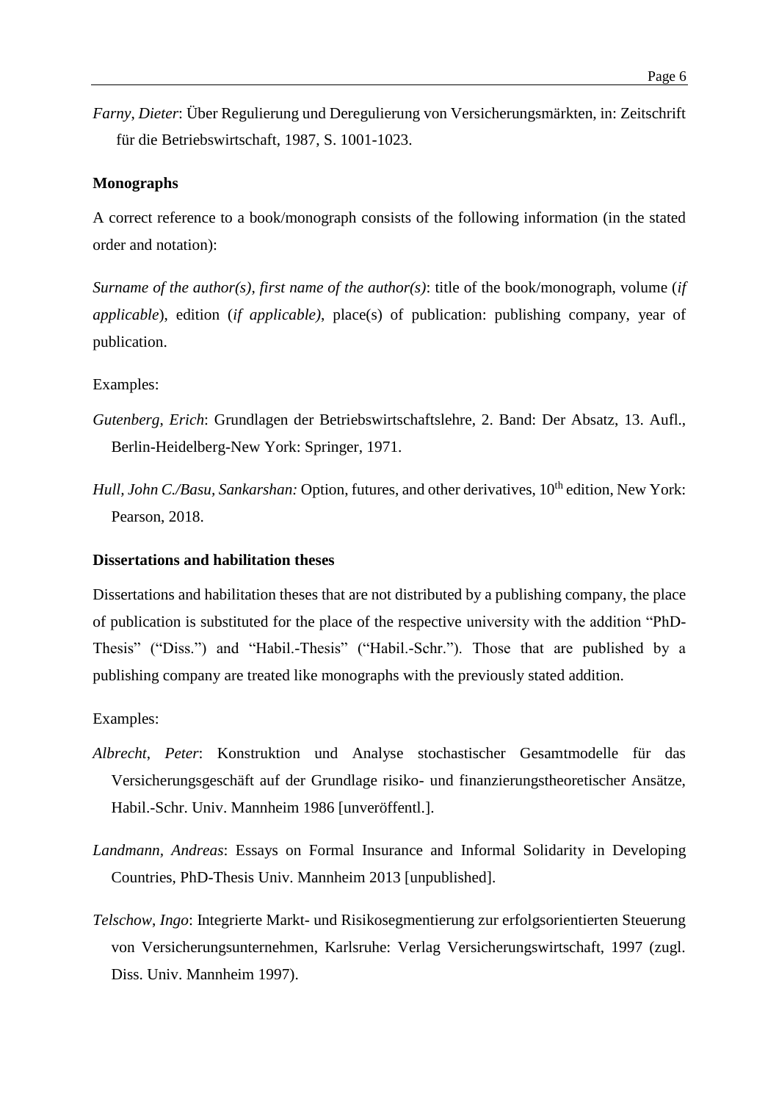*Farny*, *Dieter*: Über Regulierung und Deregulierung von Versicherungsmärkten, in: Zeitschrift für die Betriebswirtschaft, 1987, S. 1001-1023.

#### **Monographs**

A correct reference to a book/monograph consists of the following information (in the stated order and notation):

*Surname of the author(s), first name of the author(s)*: title of the book/monograph, volume (*if applicable*), edition (*if applicable)*, place(s) of publication: publishing company, year of publication.

#### Examples:

- *Gutenberg*, *Erich*: Grundlagen der Betriebswirtschaftslehre, 2. Band: Der Absatz, 13. Aufl., Berlin-Heidelberg-New York: Springer, 1971.
- *Hull, John C./Basu, Sankarshan: Option, futures, and other derivatives, 10<sup>th</sup> edition, New York:* Pearson, 2018.

#### **Dissertations and habilitation theses**

Dissertations and habilitation theses that are not distributed by a publishing company, the place of publication is substituted for the place of the respective university with the addition "PhD-Thesis" ("Diss.") and "Habil.-Thesis" ("Habil.-Schr."). Those that are published by a publishing company are treated like monographs with the previously stated addition.

#### Examples:

- *Albrecht*, *Peter*: Konstruktion und Analyse stochastischer Gesamtmodelle für das Versicherungsgeschäft auf der Grundlage risiko- und finanzierungstheoretischer Ansätze, Habil.-Schr. Univ. Mannheim 1986 [unveröffentl.].
- *Landmann, Andreas*: Essays on Formal Insurance and Informal Solidarity in Developing Countries, PhD-Thesis Univ. Mannheim 2013 [unpublished].
- *Telschow*, *Ingo*: Integrierte Markt- und Risikosegmentierung zur erfolgsorientierten Steuerung von Versicherungsunternehmen, Karlsruhe: Verlag Versicherungswirtschaft, 1997 (zugl. Diss. Univ. Mannheim 1997).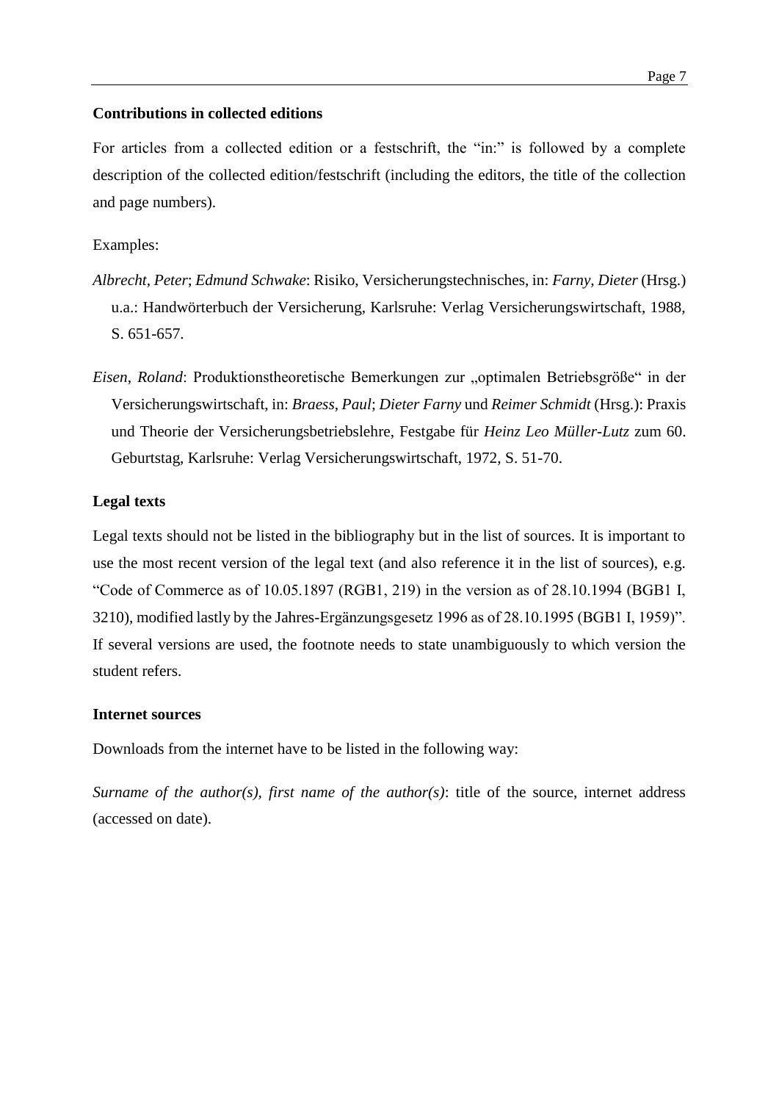### **Contributions in collected editions**

For articles from a collected edition or a festschrift, the "in:" is followed by a complete description of the collected edition/festschrift (including the editors, the title of the collection and page numbers).

Examples:

- *Albrecht*, *Peter*; *Edmund Schwake*: Risiko, Versicherungstechnisches, in: *Farny, Dieter* (Hrsg.) u.a.: Handwörterbuch der Versicherung, Karlsruhe: Verlag Versicherungswirtschaft, 1988, S. 651-657.
- *Eisen, Roland*: Produktionstheoretische Bemerkungen zur "optimalen Betriebsgröße" in der Versicherungswirtschaft, in: *Braess*, *Paul*; *Dieter Farny* und *Reimer Schmidt* (Hrsg.): Praxis und Theorie der Versicherungsbetriebslehre, Festgabe für *Heinz Leo Müller-Lutz* zum 60. Geburtstag, Karlsruhe: Verlag Versicherungswirtschaft, 1972, S. 51-70.

#### **Legal texts**

Legal texts should not be listed in the bibliography but in the list of sources. It is important to use the most recent version of the legal text (and also reference it in the list of sources), e.g. "Code of Commerce as of 10.05.1897 (RGB1, 219) in the version as of 28.10.1994 (BGB1 I, 3210), modified lastly by the Jahres-Ergänzungsgesetz 1996 as of 28.10.1995 (BGB1 I, 1959)". If several versions are used, the footnote needs to state unambiguously to which version the student refers.

#### **Internet sources**

Downloads from the internet have to be listed in the following way:

*Surname of the author(s), first name of the author(s)*: title of the source, internet address (accessed on date).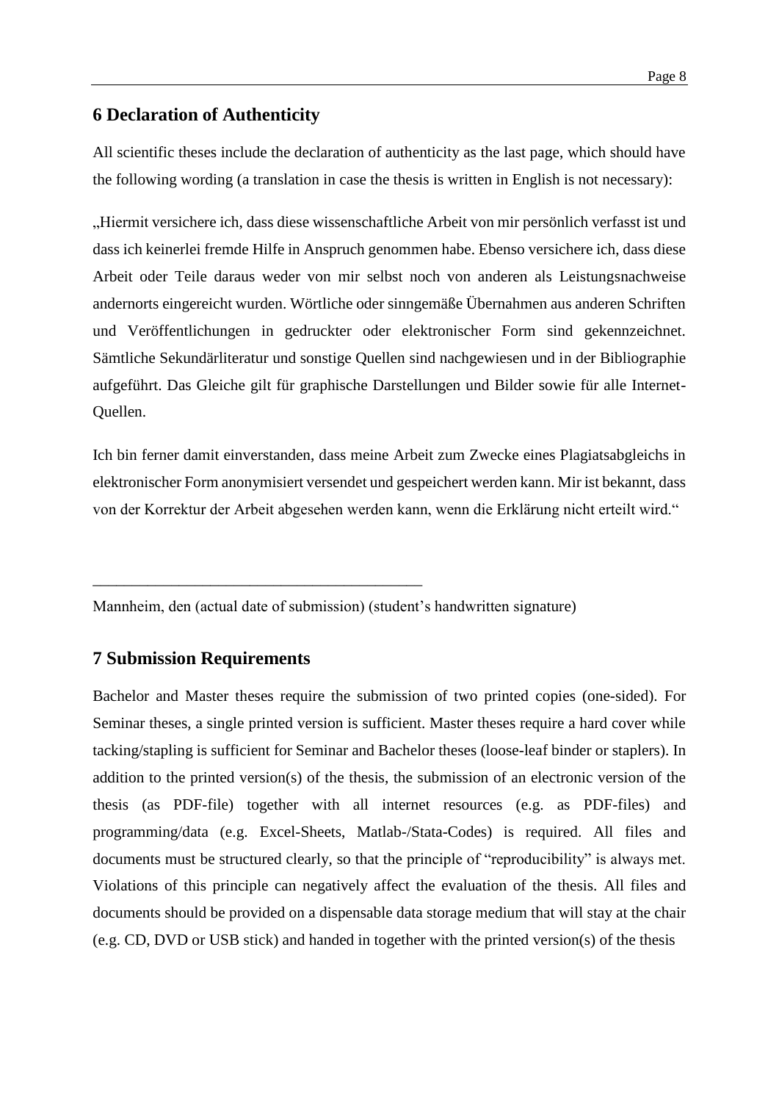## <span id="page-8-0"></span>**6 Declaration of Authenticity**

All scientific theses include the declaration of authenticity as the last page, which should have the following wording (a translation in case the thesis is written in English is not necessary):

"Hiermit versichere ich, dass diese wissenschaftliche Arbeit von mir persönlich verfasst ist und dass ich keinerlei fremde Hilfe in Anspruch genommen habe. Ebenso versichere ich, dass diese Arbeit oder Teile daraus weder von mir selbst noch von anderen als Leistungsnachweise andernorts eingereicht wurden. Wörtliche oder sinngemäße Übernahmen aus anderen Schriften und Veröffentlichungen in gedruckter oder elektronischer Form sind gekennzeichnet. Sämtliche Sekundärliteratur und sonstige Quellen sind nachgewiesen und in der Bibliographie aufgeführt. Das Gleiche gilt für graphische Darstellungen und Bilder sowie für alle Internet-Quellen.

Ich bin ferner damit einverstanden, dass meine Arbeit zum Zwecke eines Plagiatsabgleichs in elektronischer Form anonymisiert versendet und gespeichert werden kann. Mir ist bekannt, dass von der Korrektur der Arbeit abgesehen werden kann, wenn die Erklärung nicht erteilt wird."

Mannheim, den (actual date of submission) (student's handwritten signature)

## <span id="page-8-1"></span>**7 Submission Requirements**

\_\_\_\_\_\_\_\_\_\_\_\_\_\_\_\_\_\_\_\_\_\_\_\_\_\_\_\_\_\_\_\_\_\_\_\_\_\_\_\_\_\_

Bachelor and Master theses require the submission of two printed copies (one-sided). For Seminar theses, a single printed version is sufficient. Master theses require a hard cover while tacking/stapling is sufficient for Seminar and Bachelor theses (loose-leaf binder or staplers). In addition to the printed version(s) of the thesis, the submission of an electronic version of the thesis (as PDF-file) together with all internet resources (e.g. as PDF-files) and programming/data (e.g. Excel-Sheets, Matlab-/Stata-Codes) is required. All files and documents must be structured clearly, so that the principle of "reproducibility" is always met. Violations of this principle can negatively affect the evaluation of the thesis. All files and documents should be provided on a dispensable data storage medium that will stay at the chair (e.g. CD, DVD or USB stick) and handed in together with the printed version(s) of the thesis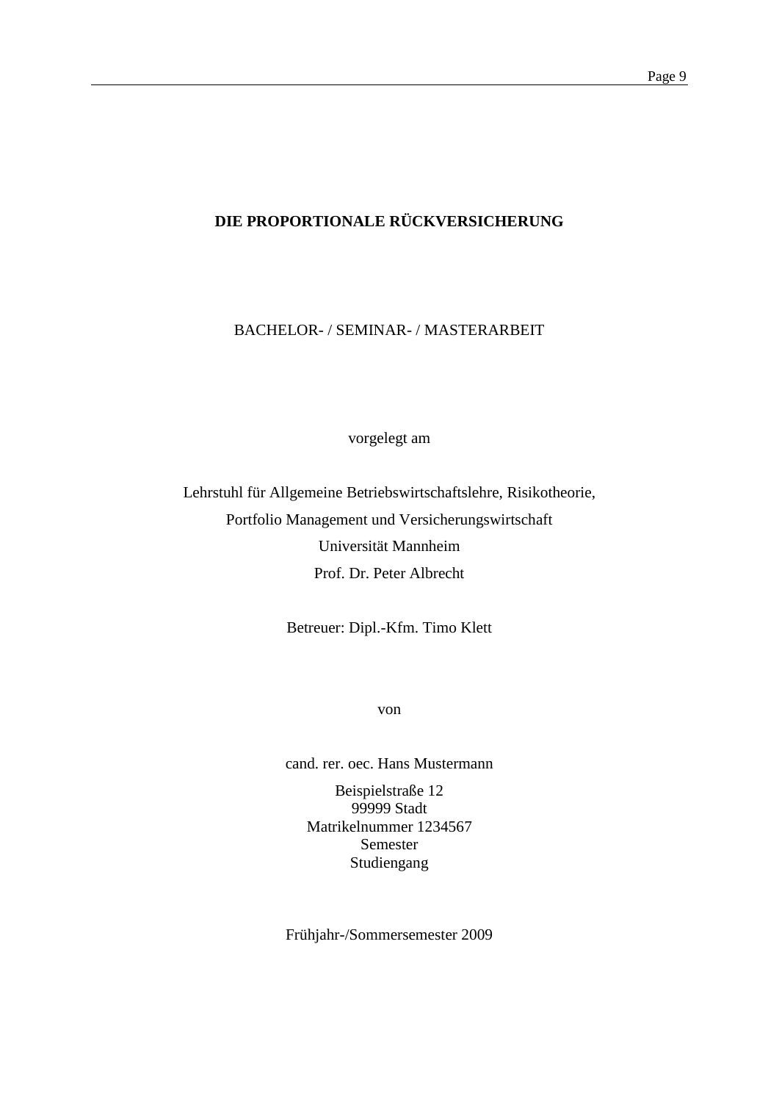# **DIE PROPORTIONALE RÜCKVERSICHERUNG**

BACHELOR- / SEMINAR- / MASTERARBEIT

vorgelegt am

Lehrstuhl für Allgemeine Betriebswirtschaftslehre, Risikotheorie, Portfolio Management und Versicherungswirtschaft Universität Mannheim Prof. Dr. Peter Albrecht

Betreuer: Dipl.-Kfm. Timo Klett

von

cand. rer. oec. Hans Mustermann

Beispielstraße 12 99999 Stadt Matrikelnummer 1234567 Semester Studiengang

Frühjahr-/Sommersemester 2009